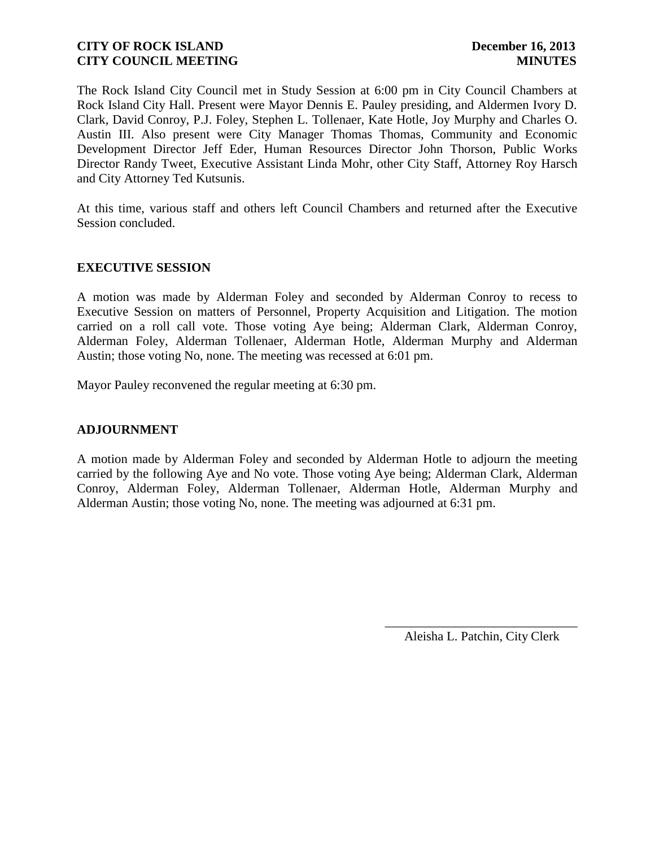The Rock Island City Council met in Study Session at 6:00 pm in City Council Chambers at Rock Island City Hall. Present were Mayor Dennis E. Pauley presiding, and Aldermen Ivory D. Clark, David Conroy, P.J. Foley, Stephen L. Tollenaer, Kate Hotle, Joy Murphy and Charles O. Austin III. Also present were City Manager Thomas Thomas, Community and Economic Development Director Jeff Eder, Human Resources Director John Thorson, Public Works Director Randy Tweet, Executive Assistant Linda Mohr, other City Staff, Attorney Roy Harsch and City Attorney Ted Kutsunis.

At this time, various staff and others left Council Chambers and returned after the Executive Session concluded.

## **EXECUTIVE SESSION**

A motion was made by Alderman Foley and seconded by Alderman Conroy to recess to Executive Session on matters of Personnel, Property Acquisition and Litigation. The motion carried on a roll call vote. Those voting Aye being; Alderman Clark, Alderman Conroy, Alderman Foley, Alderman Tollenaer, Alderman Hotle, Alderman Murphy and Alderman Austin; those voting No, none. The meeting was recessed at 6:01 pm.

Mayor Pauley reconvened the regular meeting at 6:30 pm.

### **ADJOURNMENT**

A motion made by Alderman Foley and seconded by Alderman Hotle to adjourn the meeting carried by the following Aye and No vote. Those voting Aye being; Alderman Clark, Alderman Conroy, Alderman Foley, Alderman Tollenaer, Alderman Hotle, Alderman Murphy and Alderman Austin; those voting No, none. The meeting was adjourned at 6:31 pm.

> \_\_\_\_\_\_\_\_\_\_\_\_\_\_\_\_\_\_\_\_\_\_\_\_\_\_\_\_\_\_ Aleisha L. Patchin, City Clerk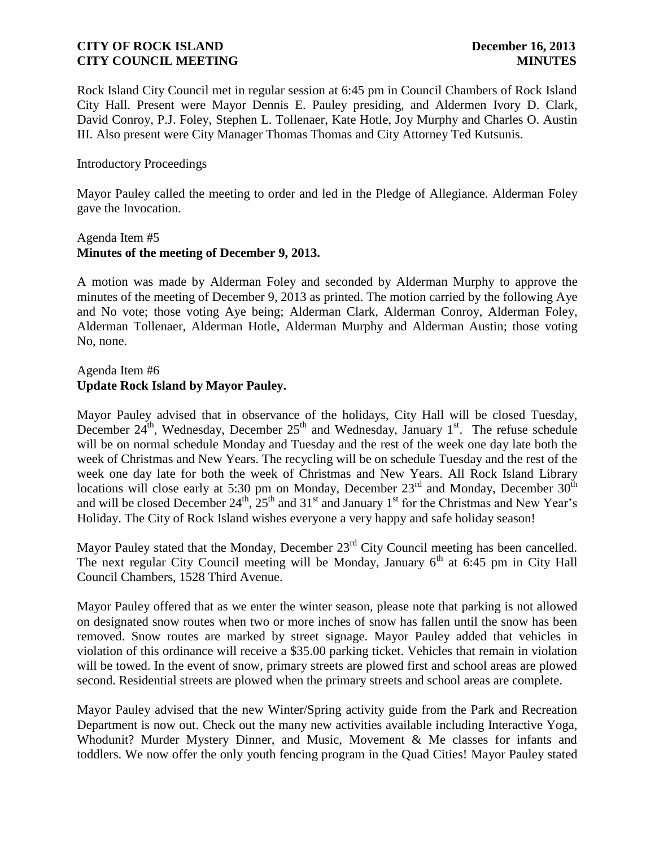Rock Island City Council met in regular session at 6:45 pm in Council Chambers of Rock Island City Hall. Present were Mayor Dennis E. Pauley presiding, and Aldermen Ivory D. Clark, David Conroy, P.J. Foley, Stephen L. Tollenaer, Kate Hotle, Joy Murphy and Charles O. Austin III. Also present were City Manager Thomas Thomas and City Attorney Ted Kutsunis.

### Introductory Proceedings

Mayor Pauley called the meeting to order and led in the Pledge of Allegiance. Alderman Foley gave the Invocation.

### Agenda Item #5 **Minutes of the meeting of December 9, 2013.**

A motion was made by Alderman Foley and seconded by Alderman Murphy to approve the minutes of the meeting of December 9, 2013 as printed. The motion carried by the following Aye and No vote; those voting Aye being; Alderman Clark, Alderman Conroy, Alderman Foley, Alderman Tollenaer, Alderman Hotle, Alderman Murphy and Alderman Austin; those voting No, none.

### Agenda Item #6 **Update Rock Island by Mayor Pauley.**

Mayor Pauley advised that in observance of the holidays, City Hall will be closed Tuesday, December  $24^{\text{th}}$ , Wednesday, December  $25^{\text{th}}$  and Wednesday, January 1<sup>st</sup>. The refuse schedule will be on normal schedule Monday and Tuesday and the rest of the week one day late both the week of Christmas and New Years. The recycling will be on schedule Tuesday and the rest of the week one day late for both the week of Christmas and New Years. All Rock Island Library locations will close early at 5:30 pm on Monday, December  $23<sup>rd</sup>$  and Monday, December  $30<sup>th</sup>$ and will be closed December  $24^{\text{th}}$ ,  $25^{\text{th}}$  and  $31^{\text{st}}$  and January  $1^{\text{st}}$  for the Christmas and New Year's Holiday. The City of Rock Island wishes everyone a very happy and safe holiday season!

Mayor Pauley stated that the Monday, December 23<sup>rd</sup> City Council meeting has been cancelled. The next regular City Council meeting will be Monday, January  $6<sup>th</sup>$  at 6:45 pm in City Hall Council Chambers, 1528 Third Avenue.

Mayor Pauley offered that as we enter the winter season, please note that parking is not allowed on designated snow routes when two or more inches of snow has fallen until the snow has been removed. Snow routes are marked by street signage. Mayor Pauley added that vehicles in violation of this ordinance will receive a \$35.00 parking ticket. Vehicles that remain in violation will be towed. In the event of snow, primary streets are plowed first and school areas are plowed second. Residential streets are plowed when the primary streets and school areas are complete.

Mayor Pauley advised that the new Winter/Spring activity guide from the Park and Recreation Department is now out. Check out the many new activities available including Interactive Yoga, Whodunit? Murder Mystery Dinner, and Music, Movement & Me classes for infants and toddlers. We now offer the only youth fencing program in the Quad Cities! Mayor Pauley stated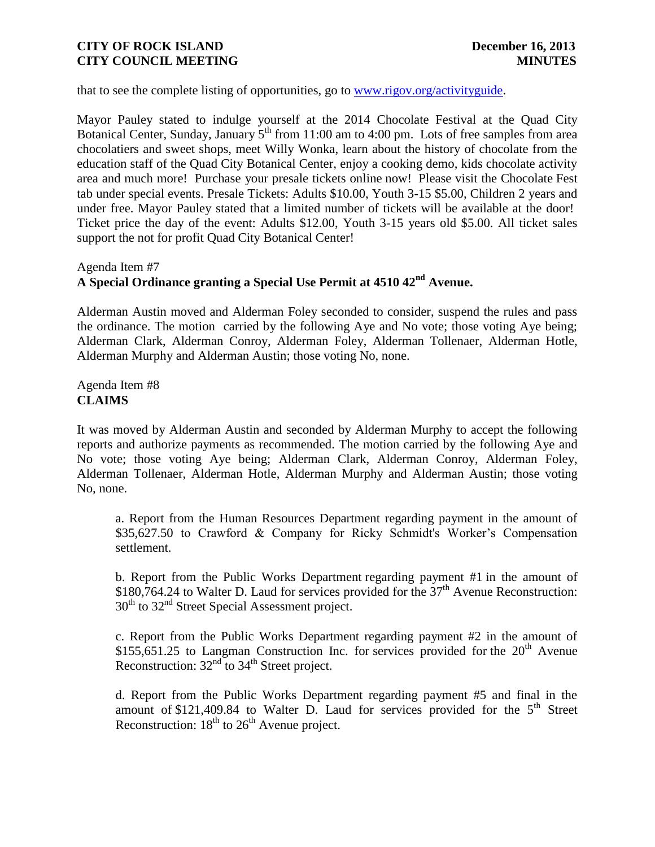that to see the complete listing of opportunities, go to [www.rigov.org/activityguide.](http://www.rigov.org/activityguide)

Mayor Pauley stated to indulge yourself at the 2014 Chocolate Festival at the Quad City Botanical Center, Sunday, January  $5<sup>th</sup>$  from 11:00 am to 4:00 pm. Lots of free samples from area chocolatiers and sweet shops, meet Willy Wonka, learn about the history of chocolate from the education staff of the Quad City Botanical Center, enjoy a cooking demo, kids chocolate activity area and much more! Purchase your presale tickets online now! Please visit the Chocolate Fest tab under special events. Presale Tickets: Adults \$10.00, Youth 3-15 \$5.00, Children 2 years and under free. Mayor Pauley stated that a limited number of tickets will be available at the door! Ticket price the day of the event: Adults \$12.00, Youth 3-15 years old \$5.00. All ticket sales support the not for profit Quad City Botanical Center!

# Agenda Item #7 **A Special Ordinance granting a Special Use Permit at 4510 42nd Avenue.**

Alderman Austin moved and Alderman Foley seconded to consider, suspend the rules and pass the ordinance. The motion carried by the following Aye and No vote; those voting Aye being; Alderman Clark, Alderman Conroy, Alderman Foley, Alderman Tollenaer, Alderman Hotle, Alderman Murphy and Alderman Austin; those voting No, none.

Agenda Item #8 **CLAIMS**

It was moved by Alderman Austin and seconded by Alderman Murphy to accept the following reports and authorize payments as recommended. The motion carried by the following Aye and No vote; those voting Aye being; Alderman Clark, Alderman Conroy, Alderman Foley, Alderman Tollenaer, Alderman Hotle, Alderman Murphy and Alderman Austin; those voting No, none.

a. Report from the Human Resources Department regarding payment in the amount of \$35,627.50 to Crawford & Company for Ricky Schmidt's Worker's Compensation settlement.

b. Report from the Public Works Department regarding payment #1 in the amount of  $$180,764.24$  to Walter D. Laud for services provided for the  $37<sup>th</sup>$  Avenue Reconstruction:  $30<sup>th</sup>$  to  $32<sup>nd</sup>$  Street Special Assessment project.

c. Report from the Public Works Department regarding payment #2 in the amount of \$155,651.25 to Langman Construction Inc. for services provided for the  $20<sup>th</sup>$  Avenue Reconstruction:  $32<sup>nd</sup>$  to  $34<sup>th</sup>$  Street project.

d. Report from the Public Works Department regarding payment #5 and final in the amount of \$121,409.84 to Walter D. Laud for services provided for the  $5<sup>th</sup>$  Street Reconstruction:  $18<sup>th</sup>$  to  $26<sup>th</sup>$  Avenue project.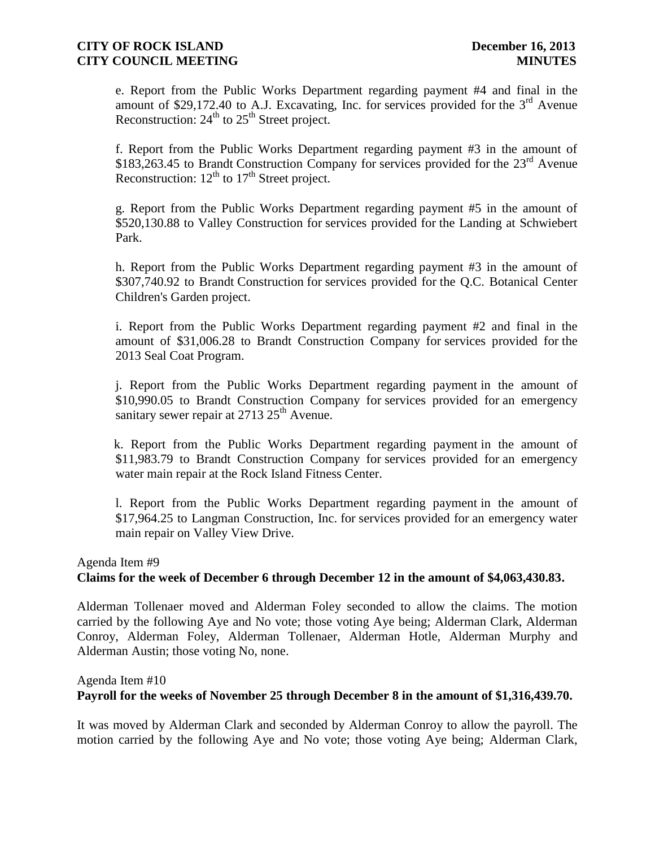e. Report from the Public Works Department regarding payment #4 and final in the amount of \$29,172.40 to A.J. Excavating, Inc. for services provided for the  $3<sup>rd</sup>$  Avenue Reconstruction:  $24<sup>th</sup>$  to  $25<sup>th</sup>$  Street project.

f. Report from the Public Works Department regarding payment #3 in the amount of \$183,263.45 to Brandt Construction Company for services provided for the 23<sup>rd</sup> Avenue Reconstruction:  $12^{th}$  to  $17^{th}$  Street project.

g. Report from the Public Works Department regarding payment #5 in the amount of \$520,130.88 to Valley Construction for services provided for the Landing at Schwiebert Park.

h. Report from the Public Works Department regarding payment #3 in the amount of \$307,740.92 to Brandt Construction for services provided for the Q.C. Botanical Center Children's Garden project.

i. Report from the Public Works Department regarding payment #2 and final in the amount of \$31,006.28 to Brandt Construction Company for services provided for the 2013 Seal Coat Program.

j. Report from the Public Works Department regarding payment in the amount of \$10,990.05 to Brandt Construction Company for services provided for an emergency sanitary sewer repair at  $2713$   $25<sup>th</sup>$  Avenue.

k. Report from the Public Works Department regarding payment in the amount of \$11,983.79 to Brandt Construction Company for services provided for an emergency water main repair at the Rock Island Fitness Center.

l. Report from the Public Works Department regarding payment in the amount of \$17,964.25 to Langman Construction, Inc. for services provided for an emergency water main repair on Valley View Drive.

## Agenda Item #9 **Claims for the week of December 6 through December 12 in the amount of \$4,063,430.83.**

Alderman Tollenaer moved and Alderman Foley seconded to allow the claims. The motion carried by the following Aye and No vote; those voting Aye being; Alderman Clark, Alderman Conroy, Alderman Foley, Alderman Tollenaer, Alderman Hotle, Alderman Murphy and Alderman Austin; those voting No, none.

#### Agenda Item #10

### **Payroll for the weeks of November 25 through December 8 in the amount of \$1,316,439.70.**

It was moved by Alderman Clark and seconded by Alderman Conroy to allow the payroll. The motion carried by the following Aye and No vote; those voting Aye being; Alderman Clark,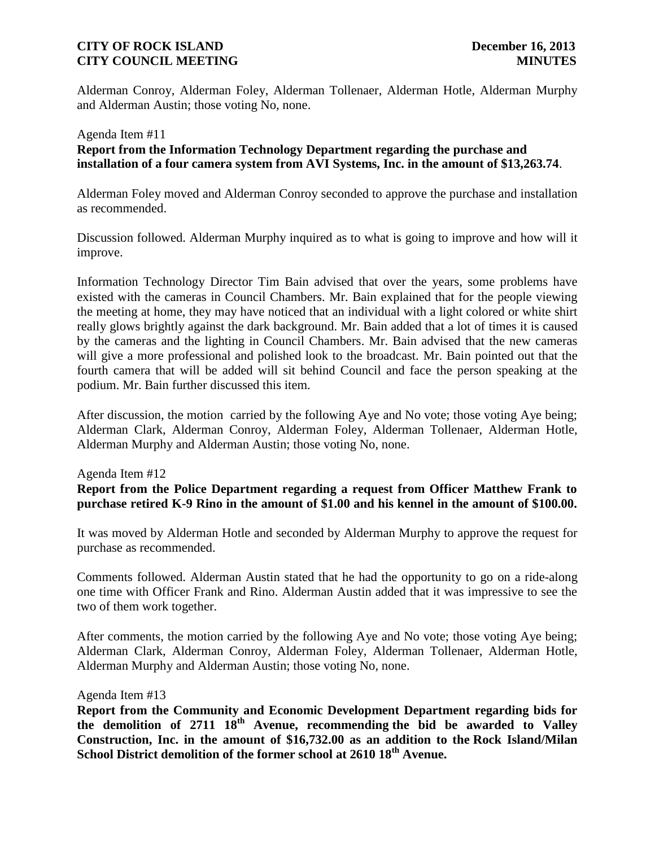Alderman Conroy, Alderman Foley, Alderman Tollenaer, Alderman Hotle, Alderman Murphy and Alderman Austin; those voting No, none.

# Agenda Item #11 **Report from the Information Technology Department regarding the purchase and installation of a four camera system from AVI Systems, Inc. in the amount of \$13,263.74**.

Alderman Foley moved and Alderman Conroy seconded to approve the purchase and installation as recommended.

Discussion followed. Alderman Murphy inquired as to what is going to improve and how will it improve.

Information Technology Director Tim Bain advised that over the years, some problems have existed with the cameras in Council Chambers. Mr. Bain explained that for the people viewing the meeting at home, they may have noticed that an individual with a light colored or white shirt really glows brightly against the dark background. Mr. Bain added that a lot of times it is caused by the cameras and the lighting in Council Chambers. Mr. Bain advised that the new cameras will give a more professional and polished look to the broadcast. Mr. Bain pointed out that the fourth camera that will be added will sit behind Council and face the person speaking at the podium. Mr. Bain further discussed this item.

After discussion, the motion carried by the following Aye and No vote; those voting Aye being; Alderman Clark, Alderman Conroy, Alderman Foley, Alderman Tollenaer, Alderman Hotle, Alderman Murphy and Alderman Austin; those voting No, none.

### Agenda Item #12

**Report from the Police Department regarding a request from Officer Matthew Frank to purchase retired K-9 Rino in the amount of \$1.00 and his kennel in the amount of \$100.00.**

It was moved by Alderman Hotle and seconded by Alderman Murphy to approve the request for purchase as recommended.

Comments followed. Alderman Austin stated that he had the opportunity to go on a ride-along one time with Officer Frank and Rino. Alderman Austin added that it was impressive to see the two of them work together.

After comments, the motion carried by the following Aye and No vote; those voting Aye being; Alderman Clark, Alderman Conroy, Alderman Foley, Alderman Tollenaer, Alderman Hotle, Alderman Murphy and Alderman Austin; those voting No, none.

Agenda Item #13

**Report from the Community and Economic Development Department regarding bids for the demolition of 2711 18th Avenue, recommending the bid be awarded to Valley Construction, Inc. in the amount of \$16,732.00 as an addition to the Rock Island/Milan School District demolition of the former school at 2610 18th Avenue.**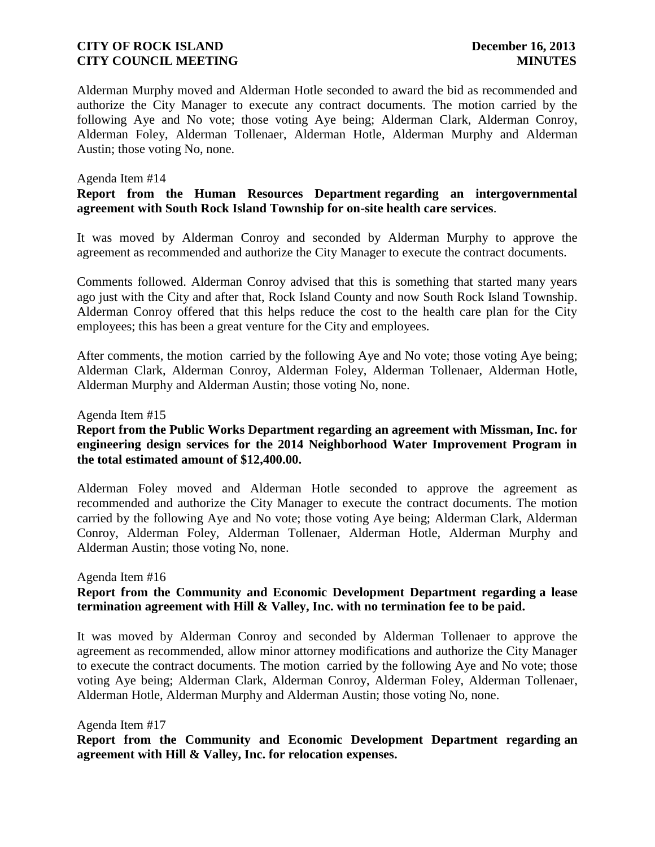Alderman Murphy moved and Alderman Hotle seconded to award the bid as recommended and authorize the City Manager to execute any contract documents. The motion carried by the following Aye and No vote; those voting Aye being; Alderman Clark, Alderman Conroy, Alderman Foley, Alderman Tollenaer, Alderman Hotle, Alderman Murphy and Alderman Austin; those voting No, none.

### Agenda Item #14

### **Report from the Human Resources Department regarding an intergovernmental agreement with South Rock Island Township for on-site health care services**.

It was moved by Alderman Conroy and seconded by Alderman Murphy to approve the agreement as recommended and authorize the City Manager to execute the contract documents.

Comments followed. Alderman Conroy advised that this is something that started many years ago just with the City and after that, Rock Island County and now South Rock Island Township. Alderman Conroy offered that this helps reduce the cost to the health care plan for the City employees; this has been a great venture for the City and employees.

After comments, the motion carried by the following Aye and No vote; those voting Aye being; Alderman Clark, Alderman Conroy, Alderman Foley, Alderman Tollenaer, Alderman Hotle, Alderman Murphy and Alderman Austin; those voting No, none.

#### Agenda Item #15

## **Report from the Public Works Department regarding an agreement with Missman, Inc. for engineering design services for the 2014 Neighborhood Water Improvement Program in the total estimated amount of \$12,400.00.**

Alderman Foley moved and Alderman Hotle seconded to approve the agreement as recommended and authorize the City Manager to execute the contract documents. The motion carried by the following Aye and No vote; those voting Aye being; Alderman Clark, Alderman Conroy, Alderman Foley, Alderman Tollenaer, Alderman Hotle, Alderman Murphy and Alderman Austin; those voting No, none.

#### Agenda Item #16

## **Report from the Community and Economic Development Department regarding a lease termination agreement with Hill & Valley, Inc. with no termination fee to be paid.**

It was moved by Alderman Conroy and seconded by Alderman Tollenaer to approve the agreement as recommended, allow minor attorney modifications and authorize the City Manager to execute the contract documents. The motion carried by the following Aye and No vote; those voting Aye being; Alderman Clark, Alderman Conroy, Alderman Foley, Alderman Tollenaer, Alderman Hotle, Alderman Murphy and Alderman Austin; those voting No, none.

#### Agenda Item #17

**Report from the Community and Economic Development Department regarding an agreement with Hill & Valley, Inc. for relocation expenses.**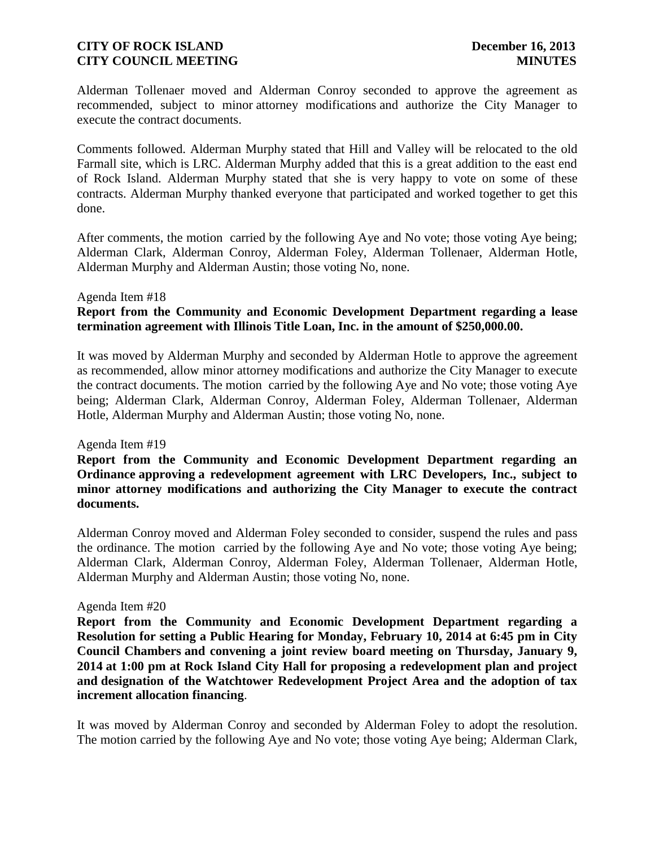Alderman Tollenaer moved and Alderman Conroy seconded to approve the agreement as recommended, subject to minor attorney modifications and authorize the City Manager to execute the contract documents.

Comments followed. Alderman Murphy stated that Hill and Valley will be relocated to the old Farmall site, which is LRC. Alderman Murphy added that this is a great addition to the east end of Rock Island. Alderman Murphy stated that she is very happy to vote on some of these contracts. Alderman Murphy thanked everyone that participated and worked together to get this done.

After comments, the motion carried by the following Aye and No vote; those voting Aye being; Alderman Clark, Alderman Conroy, Alderman Foley, Alderman Tollenaer, Alderman Hotle, Alderman Murphy and Alderman Austin; those voting No, none.

#### Agenda Item #18

## **Report from the Community and Economic Development Department regarding a lease termination agreement with Illinois Title Loan, Inc. in the amount of \$250,000.00.**

It was moved by Alderman Murphy and seconded by Alderman Hotle to approve the agreement as recommended, allow minor attorney modifications and authorize the City Manager to execute the contract documents. The motion carried by the following Aye and No vote; those voting Aye being; Alderman Clark, Alderman Conroy, Alderman Foley, Alderman Tollenaer, Alderman Hotle, Alderman Murphy and Alderman Austin; those voting No, none.

#### Agenda Item #19

**Report from the Community and Economic Development Department regarding an Ordinance approving a redevelopment agreement with LRC Developers, Inc., subject to minor attorney modifications and authorizing the City Manager to execute the contract documents.**

Alderman Conroy moved and Alderman Foley seconded to consider, suspend the rules and pass the ordinance. The motion carried by the following Aye and No vote; those voting Aye being; Alderman Clark, Alderman Conroy, Alderman Foley, Alderman Tollenaer, Alderman Hotle, Alderman Murphy and Alderman Austin; those voting No, none.

#### Agenda Item #20

**Report from the Community and Economic Development Department regarding a Resolution for setting a Public Hearing for Monday, February 10, 2014 at 6:45 pm in City Council Chambers and convening a joint review board meeting on Thursday, January 9, 2014 at 1:00 pm at Rock Island City Hall for proposing a redevelopment plan and project and designation of the Watchtower Redevelopment Project Area and the adoption of tax increment allocation financing**.

It was moved by Alderman Conroy and seconded by Alderman Foley to adopt the resolution. The motion carried by the following Aye and No vote; those voting Aye being; Alderman Clark,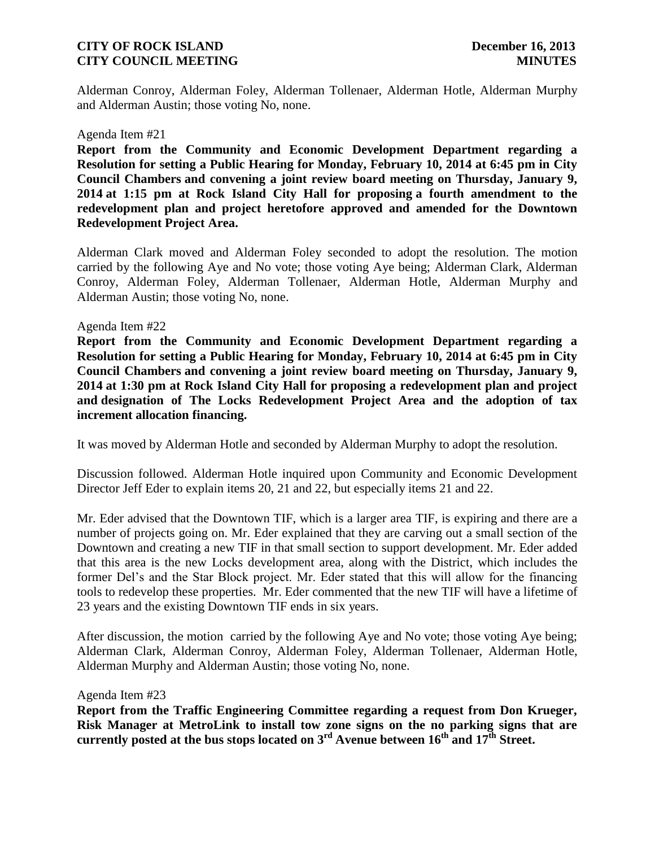Alderman Conroy, Alderman Foley, Alderman Tollenaer, Alderman Hotle, Alderman Murphy and Alderman Austin; those voting No, none.

#### Agenda Item #21

**Report from the Community and Economic Development Department regarding a Resolution for setting a Public Hearing for Monday, February 10, 2014 at 6:45 pm in City Council Chambers and convening a joint review board meeting on Thursday, January 9, 2014 at 1:15 pm at Rock Island City Hall for proposing a fourth amendment to the redevelopment plan and project heretofore approved and amended for the Downtown Redevelopment Project Area.** 

Alderman Clark moved and Alderman Foley seconded to adopt the resolution. The motion carried by the following Aye and No vote; those voting Aye being; Alderman Clark, Alderman Conroy, Alderman Foley, Alderman Tollenaer, Alderman Hotle, Alderman Murphy and Alderman Austin; those voting No, none.

#### Agenda Item #22

**Report from the Community and Economic Development Department regarding a Resolution for setting a Public Hearing for Monday, February 10, 2014 at 6:45 pm in City Council Chambers and convening a joint review board meeting on Thursday, January 9, 2014 at 1:30 pm at Rock Island City Hall for proposing a redevelopment plan and project and designation of The Locks Redevelopment Project Area and the adoption of tax increment allocation financing.** 

It was moved by Alderman Hotle and seconded by Alderman Murphy to adopt the resolution.

Discussion followed. Alderman Hotle inquired upon Community and Economic Development Director Jeff Eder to explain items 20, 21 and 22, but especially items 21 and 22.

Mr. Eder advised that the Downtown TIF, which is a larger area TIF, is expiring and there are a number of projects going on. Mr. Eder explained that they are carving out a small section of the Downtown and creating a new TIF in that small section to support development. Mr. Eder added that this area is the new Locks development area, along with the District, which includes the former Del's and the Star Block project. Mr. Eder stated that this will allow for the financing tools to redevelop these properties. Mr. Eder commented that the new TIF will have a lifetime of 23 years and the existing Downtown TIF ends in six years.

After discussion, the motion carried by the following Aye and No vote; those voting Aye being; Alderman Clark, Alderman Conroy, Alderman Foley, Alderman Tollenaer, Alderman Hotle, Alderman Murphy and Alderman Austin; those voting No, none.

Agenda Item #23

**Report from the Traffic Engineering Committee regarding a request from Don Krueger, Risk Manager at MetroLink to install tow zone signs on the no parking signs that are currently posted at the bus stops located on 3rd Avenue between 16th and 17th Street.**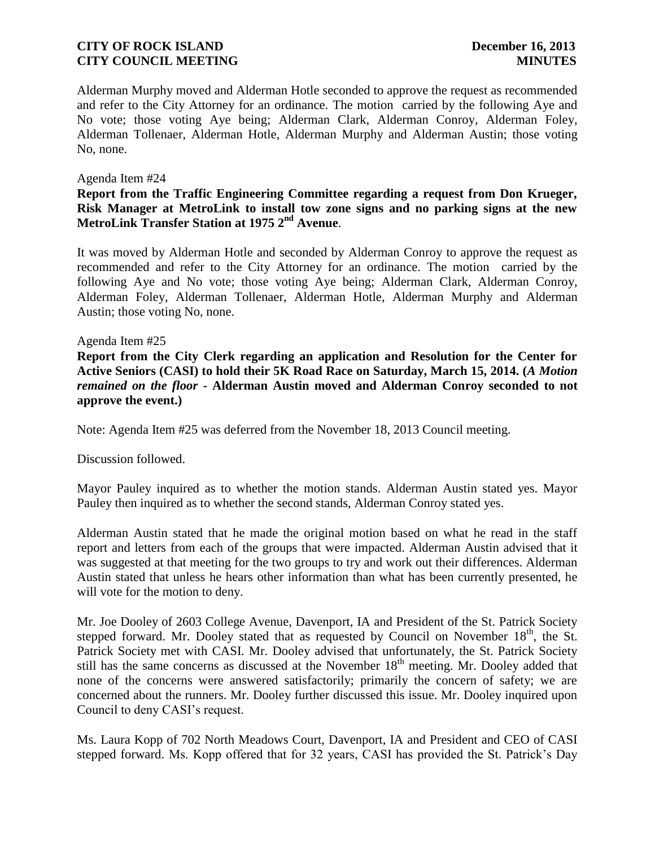Alderman Murphy moved and Alderman Hotle seconded to approve the request as recommended and refer to the City Attorney for an ordinance. The motion carried by the following Aye and No vote; those voting Aye being; Alderman Clark, Alderman Conroy, Alderman Foley, Alderman Tollenaer, Alderman Hotle, Alderman Murphy and Alderman Austin; those voting No, none.

### Agenda Item #24

### **Report from the Traffic Engineering Committee regarding a request from Don Krueger, Risk Manager at MetroLink to install tow zone signs and no parking signs at the new MetroLink Transfer Station at 1975 2nd Avenue**.

It was moved by Alderman Hotle and seconded by Alderman Conroy to approve the request as recommended and refer to the City Attorney for an ordinance. The motion carried by the following Aye and No vote; those voting Aye being; Alderman Clark, Alderman Conroy, Alderman Foley, Alderman Tollenaer, Alderman Hotle, Alderman Murphy and Alderman Austin; those voting No, none.

### Agenda Item #25

**Report from the City Clerk regarding an application and Resolution for the Center for Active Seniors (CASI) to hold their 5K Road Race on Saturday, March 15, 2014. (***A Motion remained on the floor* **- Alderman Austin moved and Alderman Conroy seconded to not approve the event.)**

Note: Agenda Item #25 was deferred from the November 18, 2013 Council meeting.

Discussion followed.

Mayor Pauley inquired as to whether the motion stands. Alderman Austin stated yes. Mayor Pauley then inquired as to whether the second stands, Alderman Conroy stated yes.

Alderman Austin stated that he made the original motion based on what he read in the staff report and letters from each of the groups that were impacted. Alderman Austin advised that it was suggested at that meeting for the two groups to try and work out their differences. Alderman Austin stated that unless he hears other information than what has been currently presented, he will vote for the motion to deny.

Mr. Joe Dooley of 2603 College Avenue, Davenport, IA and President of the St. Patrick Society stepped forward. Mr. Dooley stated that as requested by Council on November  $18<sup>th</sup>$ , the St. Patrick Society met with CASI. Mr. Dooley advised that unfortunately, the St. Patrick Society still has the same concerns as discussed at the November  $18<sup>th</sup>$  meeting. Mr. Dooley added that none of the concerns were answered satisfactorily; primarily the concern of safety; we are concerned about the runners. Mr. Dooley further discussed this issue. Mr. Dooley inquired upon Council to deny CASI's request.

Ms. Laura Kopp of 702 North Meadows Court, Davenport, IA and President and CEO of CASI stepped forward. Ms. Kopp offered that for 32 years, CASI has provided the St. Patrick's Day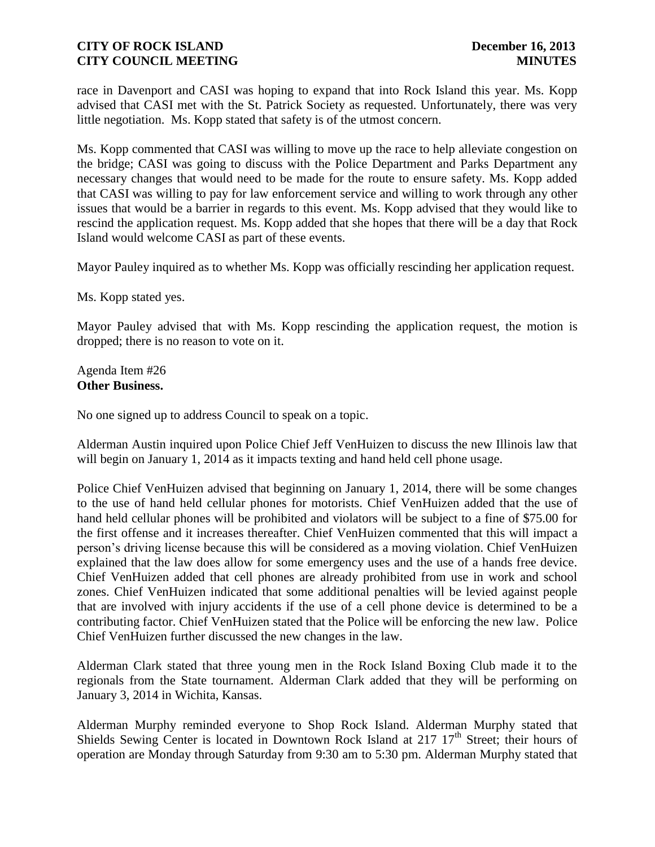race in Davenport and CASI was hoping to expand that into Rock Island this year. Ms. Kopp advised that CASI met with the St. Patrick Society as requested. Unfortunately, there was very little negotiation. Ms. Kopp stated that safety is of the utmost concern.

Ms. Kopp commented that CASI was willing to move up the race to help alleviate congestion on the bridge; CASI was going to discuss with the Police Department and Parks Department any necessary changes that would need to be made for the route to ensure safety. Ms. Kopp added that CASI was willing to pay for law enforcement service and willing to work through any other issues that would be a barrier in regards to this event. Ms. Kopp advised that they would like to rescind the application request. Ms. Kopp added that she hopes that there will be a day that Rock Island would welcome CASI as part of these events.

Mayor Pauley inquired as to whether Ms. Kopp was officially rescinding her application request.

Ms. Kopp stated yes.

Mayor Pauley advised that with Ms. Kopp rescinding the application request, the motion is dropped; there is no reason to vote on it.

Agenda Item #26 **Other Business.**

No one signed up to address Council to speak on a topic.

Alderman Austin inquired upon Police Chief Jeff VenHuizen to discuss the new Illinois law that will begin on January 1, 2014 as it impacts texting and hand held cell phone usage.

Police Chief VenHuizen advised that beginning on January 1, 2014, there will be some changes to the use of hand held cellular phones for motorists. Chief VenHuizen added that the use of hand held cellular phones will be prohibited and violators will be subject to a fine of \$75.00 for the first offense and it increases thereafter. Chief VenHuizen commented that this will impact a person's driving license because this will be considered as a moving violation. Chief VenHuizen explained that the law does allow for some emergency uses and the use of a hands free device. Chief VenHuizen added that cell phones are already prohibited from use in work and school zones. Chief VenHuizen indicated that some additional penalties will be levied against people that are involved with injury accidents if the use of a cell phone device is determined to be a contributing factor. Chief VenHuizen stated that the Police will be enforcing the new law. Police Chief VenHuizen further discussed the new changes in the law.

Alderman Clark stated that three young men in the Rock Island Boxing Club made it to the regionals from the State tournament. Alderman Clark added that they will be performing on January 3, 2014 in Wichita, Kansas.

Alderman Murphy reminded everyone to Shop Rock Island. Alderman Murphy stated that Shields Sewing Center is located in Downtown Rock Island at 217 17<sup>th</sup> Street; their hours of operation are Monday through Saturday from 9:30 am to 5:30 pm. Alderman Murphy stated that